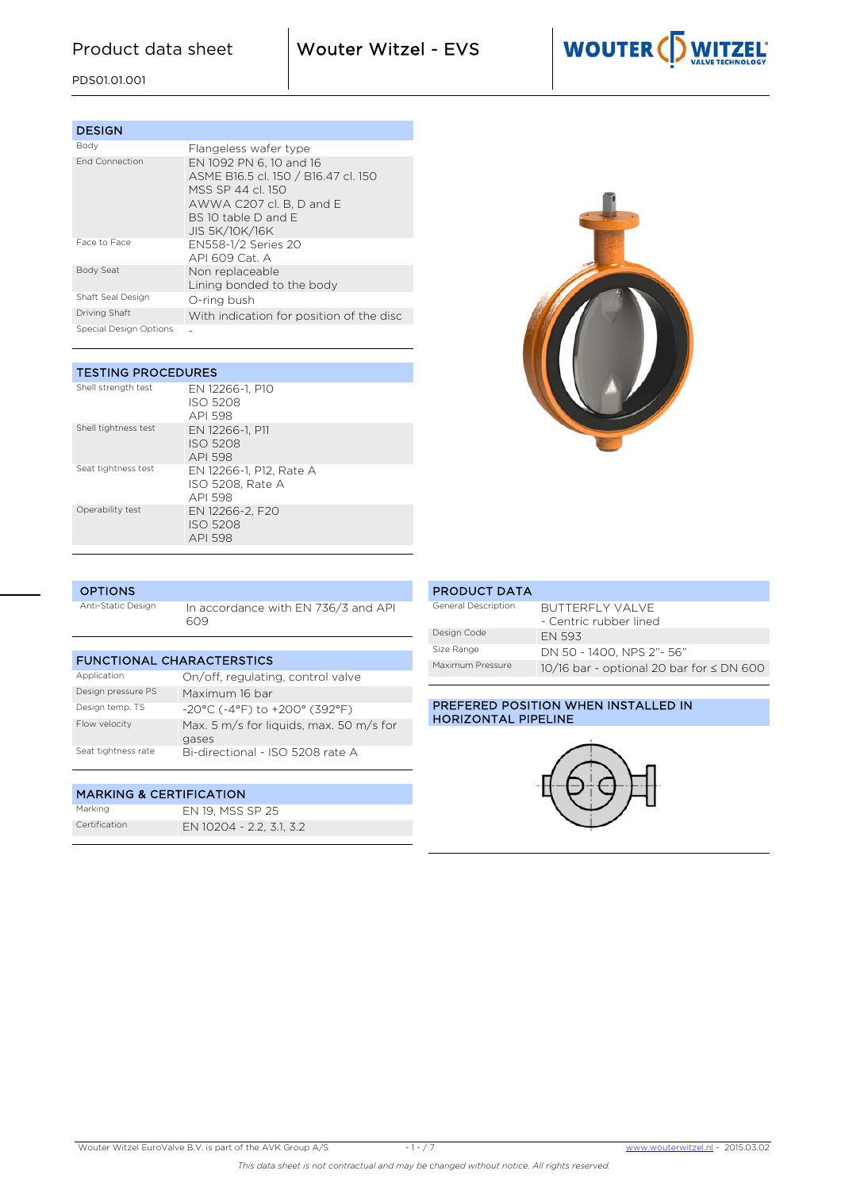Product data sheet **Wouter Witzel - EVS** 



PDS01.01.001

| <b>DESIGN</b>          |                                                                                                                                                                  |
|------------------------|------------------------------------------------------------------------------------------------------------------------------------------------------------------|
| Body                   | Flangeless wafer type                                                                                                                                            |
| <b>End Connection</b>  | EN 1092 PN 6, 10 and 16<br>ASME B16.5 cl. 150 / B16.47 cl. 150<br>MSS SP 44 cl 150<br>AWWA C207 cl. B. D and E<br>$BS$ 10 table D and F<br><b>JIS 5K/10K/16K</b> |
| Face to Face           | EN558-1/2 Series 20<br>API 609 Cat. A                                                                                                                            |
| Body Seat              | Non replaceable<br>Lining bonded to the body                                                                                                                     |
| Shaft Seal Design      | O-ring bush                                                                                                                                                      |
| Driving Shaft          | With indication for position of the disc                                                                                                                         |
| Special Design Options |                                                                                                                                                                  |

| <b>TESTING PROCEDURES</b> |                                                        |  |  |  |  |  |  |  |  |  |  |
|---------------------------|--------------------------------------------------------|--|--|--|--|--|--|--|--|--|--|
| Shell strength test       | EN 12266-1, P10<br>ISO 5208<br>API 598                 |  |  |  |  |  |  |  |  |  |  |
| Shell tightness test      | EN 12266-1, P11<br><b>ISO 5208</b><br>API 598          |  |  |  |  |  |  |  |  |  |  |
| Seat tightness test       | EN 12266-1, P12, Rate A<br>ISO 5208. Rate A<br>API 598 |  |  |  |  |  |  |  |  |  |  |
| Operability test          | EN 12266-2. F20<br>ISO 5208<br>API 598                 |  |  |  |  |  |  |  |  |  |  |



| <b>OPTIONS</b>     |                                            |  |  |  |  |  |  |  |  |  |  |  |
|--------------------|--------------------------------------------|--|--|--|--|--|--|--|--|--|--|--|
| Anti-Static Design | In accordance with EN 736/3 and API<br>609 |  |  |  |  |  |  |  |  |  |  |  |
|                    |                                            |  |  |  |  |  |  |  |  |  |  |  |
|                    | <b>FUNCTIONAL CHARACTERSTICS</b>           |  |  |  |  |  |  |  |  |  |  |  |

| Application         | On/off, regulating, control valve                |
|---------------------|--------------------------------------------------|
| Design pressure PS  | Maximum 16 bar                                   |
| Design temp. TS     | $-20^{\circ}$ C (-4°F) to $+200^{\circ}$ (392°F) |
| Flow velocity       | Max. 5 m/s for liquids, max. 50 m/s for<br>gases |
| Seat tightness rate | Bi-directional - ISO 5208 rate A                 |

# MARKING & CERTIFICATION

| Marking       | EN 19. MSS SP 25         |
|---------------|--------------------------|
| Certification | EN 10204 - 2.2, 3.1, 3.2 |

| <b>PRODUCT DATA</b> |                                           |
|---------------------|-------------------------------------------|
| General Description | BUTTERFLY VALVE<br>- Centric rubber lined |
| Design Code         | <b>FN 593</b>                             |
| Size Range          | DN 50 - 1400. NPS 2"- 56"                 |
| Maximum Pressure    | 10/16 bar - optional 20 bar for ≤ DN 600  |

## PREFERED POSITION WHEN INSTALLED IN HORIZONTAL PIPELINE

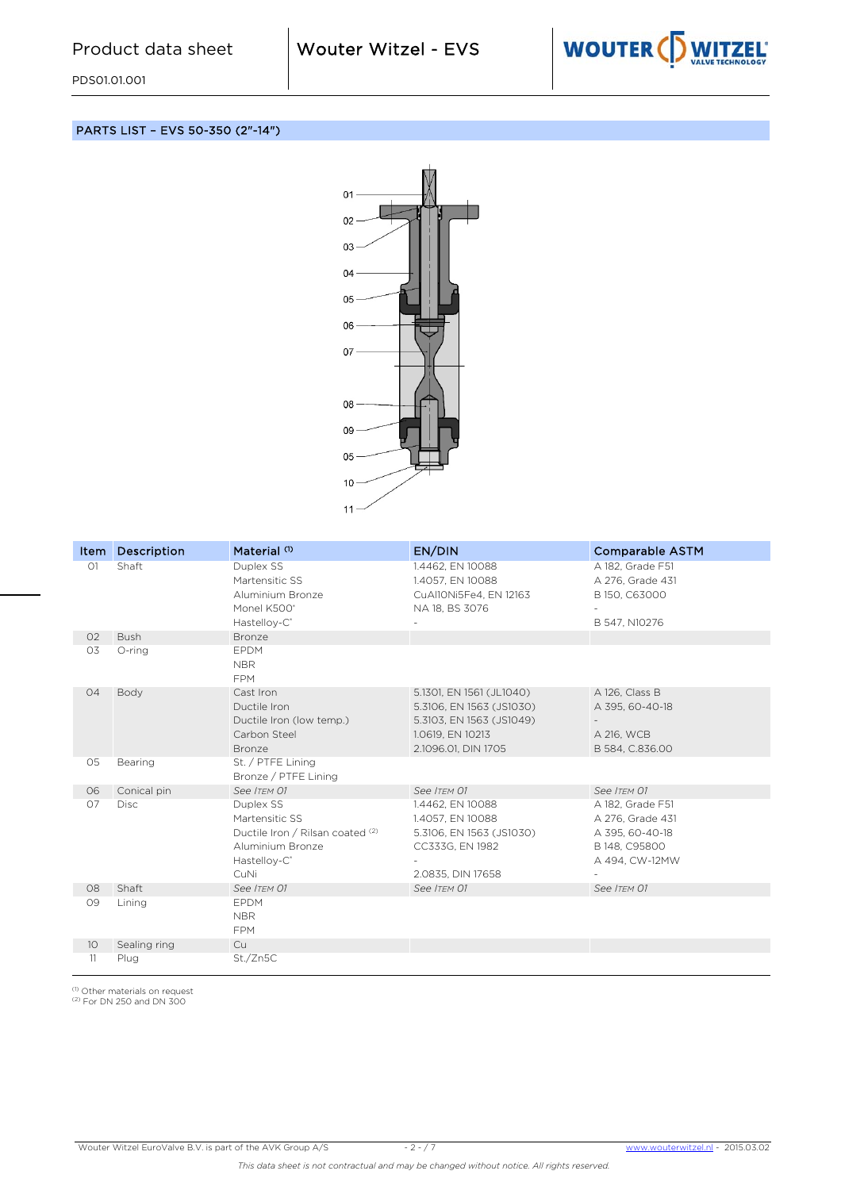

## PARTS LIST – EVS 50-350 (2"-14")



| Item            | <b>Description</b> | Material <sup>(1)</sup>                                                                                                 | EN/DIN                                                                                                                      | <b>Comparable ASTM</b>                                                                     |
|-----------------|--------------------|-------------------------------------------------------------------------------------------------------------------------|-----------------------------------------------------------------------------------------------------------------------------|--------------------------------------------------------------------------------------------|
| O1              | Shaft              | Duplex SS<br>Martensitic SS<br>Aluminium Bronze<br>Monel K500°<br>Hastelloy-C <sup>®</sup>                              | 1.4462, EN 10088<br>1.4057, EN 10088<br>CuAl10Ni5Fe4, EN 12163<br>NA 18, BS 3076                                            | A 182, Grade F51<br>A 276, Grade 431<br>B 150, C63000<br>B 547, N10276                     |
| O <sub>2</sub>  | <b>Bush</b>        | Bronze                                                                                                                  |                                                                                                                             |                                                                                            |
| O3              | O-ring             | <b>EPDM</b><br><b>NBR</b><br><b>FPM</b>                                                                                 |                                                                                                                             |                                                                                            |
| 04              | Body               | Cast Iron<br>Ductile Iron<br>Ductile Iron (low temp.)<br>Carbon Steel<br>Bronze                                         | 5.1301, EN 1561 (JL1040)<br>5.3106, EN 1563 (JS1030)<br>5.3103, EN 1563 (JS1049)<br>1.0619, EN 10213<br>2.1096.01, DIN 1705 | A 126, Class B<br>A 395, 60-40-18<br>A 216, WCB<br>B 584, C.836.00                         |
| 05              | Bearing            | St. / PTFE Lining<br>Bronze / PTFE Lining                                                                               |                                                                                                                             |                                                                                            |
| 06              | Conical pin        | See ITEM 01                                                                                                             | See ITEM 01                                                                                                                 | See ITEM 01                                                                                |
| 07              | <b>Disc</b>        | Duplex SS<br>Martensitic SS<br>Ductile Iron / Rilsan coated (2)<br>Aluminium Bronze<br>Hastelloy-C <sup>®</sup><br>CuNi | 1.4462, EN 10088<br>1.4057, EN 10088<br>5.3106, EN 1563 (JS1030)<br>CC333G, EN 1982<br>2.0835, DIN 17658                    | A 182, Grade F51<br>A 276, Grade 431<br>A 395, 60-40-18<br>B 148, C95800<br>A 494, CW-12MW |
| 08              | Shaft              | See ITEM 01                                                                                                             | See ITEM 01                                                                                                                 | See ITEM 01                                                                                |
| 09              | Lining             | EPDM<br><b>NBR</b><br><b>FPM</b>                                                                                        |                                                                                                                             |                                                                                            |
| 10 <sup>°</sup> | Sealing ring       | Cu                                                                                                                      |                                                                                                                             |                                                                                            |
| 11              | Plug               | St./Zn5C                                                                                                                |                                                                                                                             |                                                                                            |

<sup>(1)</sup> Other materials on request<br><sup>(2)</sup> For DN 250 and DN 300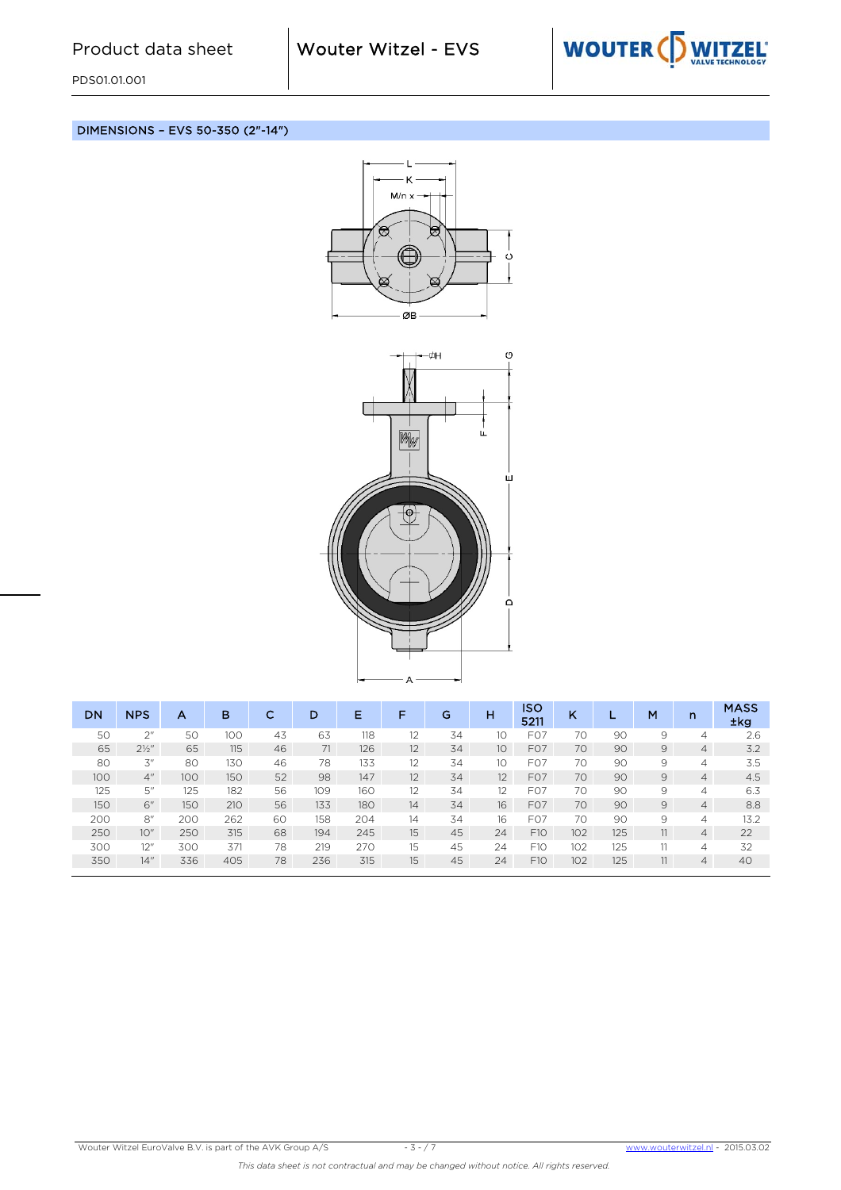

DIMENSIONS – EVS 50-350 (2"-14")





| <b>DN</b> | <b>NPS</b>       | А   | в   | с  | D   | Е   | F                 | G  | н               | ISO<br>5211      | K   |     | M  | n              | <b>MASS</b><br>±kg |
|-----------|------------------|-----|-----|----|-----|-----|-------------------|----|-----------------|------------------|-----|-----|----|----------------|--------------------|
| 50        | 2 <sup>''</sup>  | 50  | 100 | 43 | 63  | 118 | 12                | 34 | 10              | F <sub>O</sub> 7 | 70  | 90  | 9  | 4              | 2.6                |
| 65        | $2\frac{1}{2}$ " | 65  | 115 | 46 | 71  | 126 | 12                | 34 | 10 <sup>°</sup> | FO7              | 70  | 90  | 9  | $\overline{4}$ | 3.2                |
| 80        | 3''              | 80  | 130 | 46 | 78  | 133 | $12 \overline{ }$ | 34 | 10              | F <sub>O</sub> 7 | 70  | 90  | 9  | 4              | 3.5                |
| 100       | 4"               | 100 | 150 | 52 | 98  | 147 | 12                | 34 | 12              | FO <sub>7</sub>  | 70  | 90  | 9  | 4              | 4.5                |
| 125       | 5''              | 125 | 182 | 56 | 109 | 160 | 12                | 34 | 12              | F <sub>O</sub> 7 | 70  | 90  | 9  | 4              | 6.3                |
| 150       | 6"               | 150 | 210 | 56 | 133 | 180 | 14                | 34 | 16              | F <sub>O</sub> 7 | 70  | 90  | 9  | $\overline{4}$ | 8.8                |
| 200       | 8"               | 200 | 262 | 60 | 158 | 204 | 14                | 34 | 16              | FO7              | 70  | 90  | 9  | 4              | 13.2               |
| 250       | 10"              | 250 | 315 | 68 | 194 | 245 | 15                | 45 | 24              | F10              | 102 | 125 | 11 | $\overline{4}$ | 22                 |
| 300       | 12"              | 300 | 371 | 78 | 219 | 270 | 15                | 45 | 24              | F <sub>10</sub>  | 102 | 125 | 11 | 4              | 32                 |
| 350       | 14"              | 336 | 405 | 78 | 236 | 315 | 15                | 45 | 24              | F10              | 102 | 125 | 11 | $\overline{4}$ | 40                 |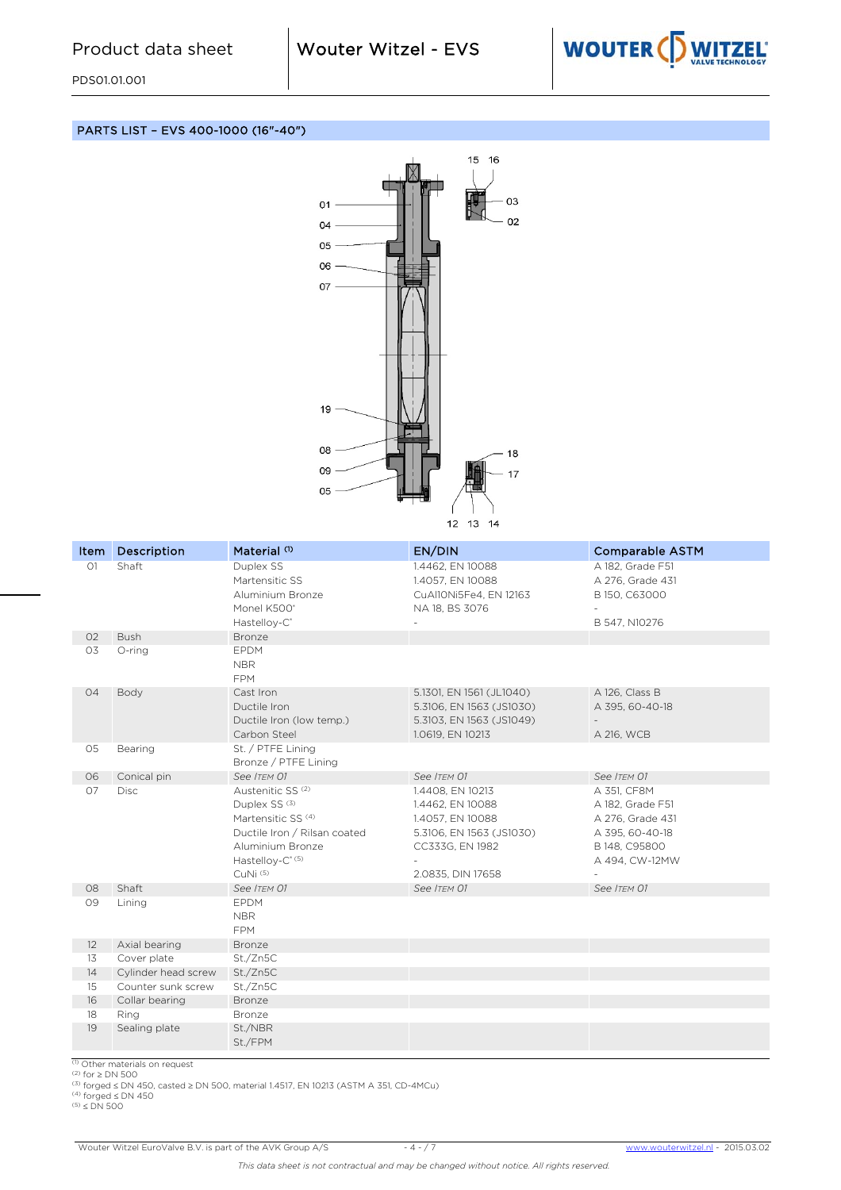

PARTS LIST – EVS 400-1000 (16"-40")



| Item              | <b>Description</b>    | Material <sup>(1)</sup>                                                                                                                                                                             | EN/DIN                                                                                                                       | <b>Comparable ASTM</b>                                                                                    |
|-------------------|-----------------------|-----------------------------------------------------------------------------------------------------------------------------------------------------------------------------------------------------|------------------------------------------------------------------------------------------------------------------------------|-----------------------------------------------------------------------------------------------------------|
| O1                | Shaft                 | Duplex SS<br>Martensitic SS<br>Aluminium Bronze<br>Monel K500°<br>Hastelloy-C <sup>®</sup>                                                                                                          | 1.4462, EN 10088<br>1.4057, EN 10088<br>CuAl10Ni5Fe4, EN 12163<br>NA 18, BS 3076                                             | A 182. Grade F51<br>A 276, Grade 431<br>B 150, C63000<br>$\overline{\phantom{a}}$<br>B 547, N10276        |
| 02                | <b>Bush</b>           | <b>Bronze</b>                                                                                                                                                                                       |                                                                                                                              |                                                                                                           |
| O3                | O-ring                | <b>EPDM</b><br><b>NBR</b><br><b>FPM</b>                                                                                                                                                             |                                                                                                                              |                                                                                                           |
| 04                | Body                  | Cast Iron<br>Ductile Iron<br>Ductile Iron (low temp.)<br>Carbon Steel                                                                                                                               | 5.1301, EN 1561 (JL1040)<br>5.3106, EN 1563 (JS1030)<br>5.3103, EN 1563 (JS1049)<br>1.0619, EN 10213                         | A 126, Class B<br>A 395, 60-40-18<br>A 216, WCB                                                           |
| 05                | Bearing               | St. / PTFE Lining<br>Bronze / PTFE Lining                                                                                                                                                           |                                                                                                                              |                                                                                                           |
| 06                | Conical pin           | See ITEM 01                                                                                                                                                                                         | See ITEM 01                                                                                                                  | See ITEM 01                                                                                               |
| 07                | <b>Disc</b>           | Austenitic SS <sup>(2)</sup><br>Duplex SS <sup>(3)</sup><br>Martensitic SS <sup>(4)</sup><br>Ductile Iron / Rilsan coated<br>Aluminium Bronze<br>Hastelloy-C <sup>*(5)</sup><br>CuNi <sup>(5)</sup> | 1.4408, EN 10213<br>1.4462, EN 10088<br>1.4057, EN 10088<br>5.3106, EN 1563 (JS1030)<br>CC333G, EN 1982<br>2.0835, DIN 17658 | A 351, CF8M<br>A 182, Grade F51<br>A 276, Grade 431<br>A 395, 60-40-18<br>B 148, C95800<br>A 494, CW-12MW |
| 08                | Shaft                 | See ITEM 01                                                                                                                                                                                         | See ITEM 01                                                                                                                  | See ITEM 01                                                                                               |
| 09                | Lining                | <b>EPDM</b><br>NBR<br><b>FPM</b>                                                                                                                                                                    |                                                                                                                              |                                                                                                           |
| $12 \overline{ }$ | Axial bearing         | <b>Bronze</b>                                                                                                                                                                                       |                                                                                                                              |                                                                                                           |
| 13                | Cover plate           | St./Zn5C                                                                                                                                                                                            |                                                                                                                              |                                                                                                           |
| 14                | Cylinder head screw   | St./Zn5C                                                                                                                                                                                            |                                                                                                                              |                                                                                                           |
| 15                | Counter sunk screw    | St./Zn5C                                                                                                                                                                                            |                                                                                                                              |                                                                                                           |
| 16                | Collar bearing        | <b>Bronze</b>                                                                                                                                                                                       |                                                                                                                              |                                                                                                           |
| 18<br>19          | Ring<br>Sealing plate | Bronze<br>St./NBR                                                                                                                                                                                   |                                                                                                                              |                                                                                                           |
|                   |                       | St./FPM                                                                                                                                                                                             |                                                                                                                              |                                                                                                           |

(1) Other materials on request<br>(2) for ≥ DN 500<br>(3) forged ≤ DN 450, casted ≥ DN 500, material 1.4517, EN 10213 (ASTM A 351, CD-4MCu)<br>(4) forged ≤ DN 450<br>(5) ≤ DN 500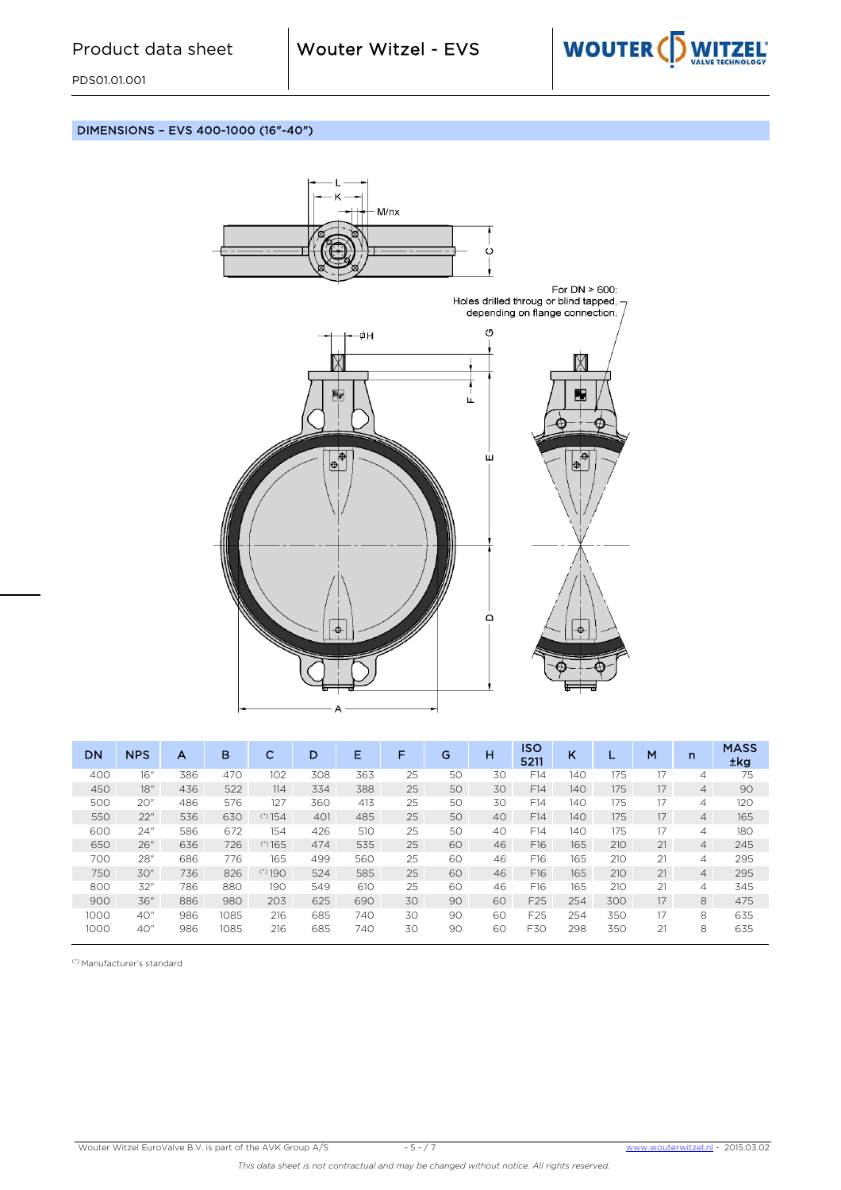

DIMENSIONS – EVS 400-1000 (16"-40")



| <b>DN</b> | <b>NPS</b> | А   | в    | с        | D   | Е   | F  | G  | н  | <b>ISO</b><br>5211 | κ   |     | M  | $\mathsf{n}$   | <b>MASS</b><br><b>±kg</b> |
|-----------|------------|-----|------|----------|-----|-----|----|----|----|--------------------|-----|-----|----|----------------|---------------------------|
| 400       | 16"        | 386 | 470  | 102      | 308 | 363 | 25 | 50 | 30 | F14                | 140 | 175 | 17 | 4              | 75                        |
| 450       | 18"        | 436 | 522  | 114      | 334 | 388 | 25 | 50 | 30 | F14                | 140 | 175 | 17 | $\overline{4}$ | 90                        |
| 500       | 20"        | 486 | 576  | 127      | 360 | 413 | 25 | 50 | 30 | F14                | 140 | 175 | 17 | 4              | 120                       |
| 550       | 22"        | 536 | 630  | $(*)154$ | 401 | 485 | 25 | 50 | 40 | F14                | 140 | 175 | 17 | $\overline{4}$ | 165                       |
| 600       | 24"        | 586 | 672  | 154      | 426 | 510 | 25 | 50 | 40 | F14                | 140 | 175 | 17 | $\overline{4}$ | 180                       |
| 650       | 26"        | 636 | 726  | $(*)165$ | 474 | 535 | 25 | 60 | 46 | F16                | 165 | 210 | 21 | $\overline{4}$ | 245                       |
| 700       | 28"        | 686 | 776  | 165      | 499 | 560 | 25 | 60 | 46 | F16                | 165 | 210 | 21 | $\overline{4}$ | 295                       |
| 750       | 30"        | 736 | 826  | (3)190   | 524 | 585 | 25 | 60 | 46 | F16                | 165 | 210 | 21 | $\overline{4}$ | 295                       |
| 800       | 32"        | 786 | 880  | 190      | 549 | 610 | 25 | 60 | 46 | F16                | 165 | 210 | 21 | 4              | 345                       |
| 900       | 36"        | 886 | 980  | 203      | 625 | 690 | 30 | 90 | 60 | F <sub>25</sub>    | 254 | 300 | 17 | 8              | 475                       |
| 1000      | 40"        | 986 | 1085 | 216      | 685 | 740 | 30 | 90 | 60 | F <sub>25</sub>    | 254 | 350 | 17 | 8              | 635                       |
| 1000      | 40"        | 986 | 1085 | 216      | 685 | 740 | 30 | 90 | 60 | F30                | 298 | 350 | 21 | 8              | 635                       |

(\*) Manufacturer's standard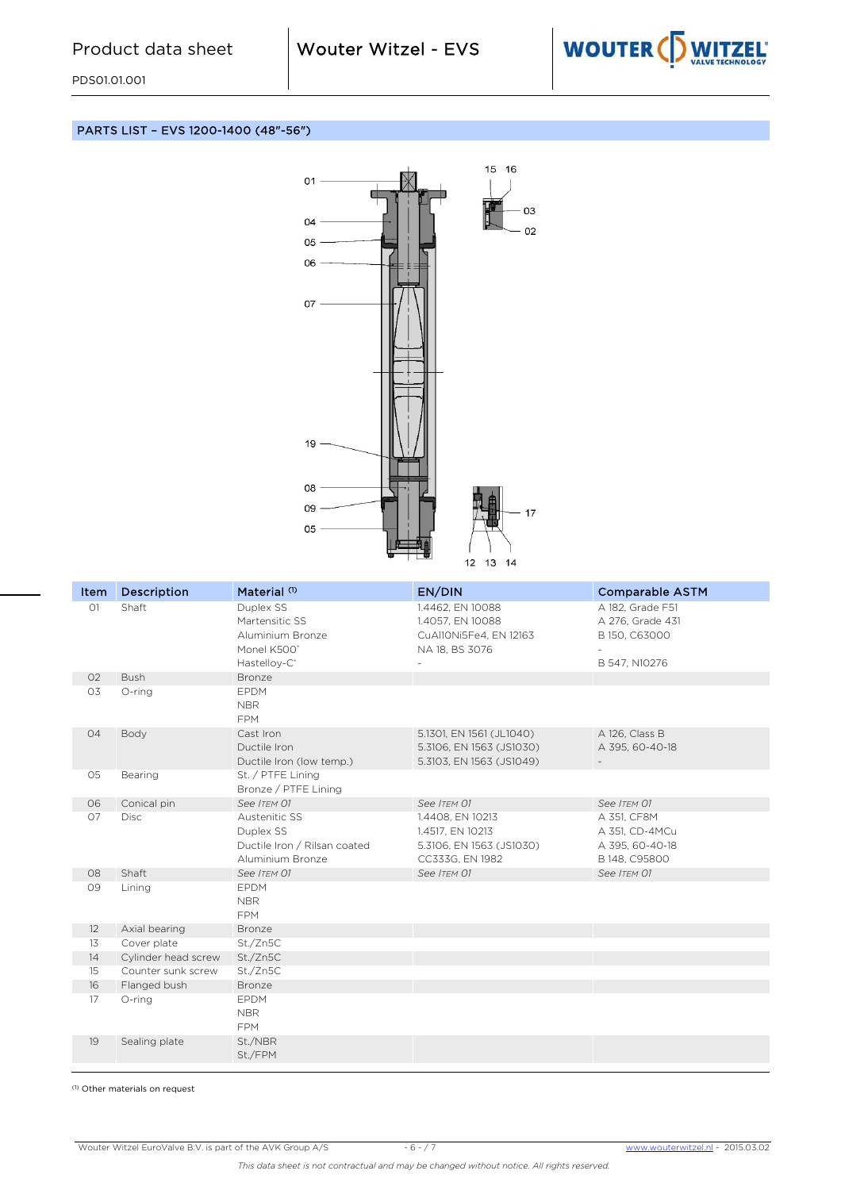

#### PARTS LIST – EVS 1200-1400 (48"-56")



| Item              | <b>Description</b>  | Material <sup>(1)</sup>      | EN/DIN                                       | <b>Comparable ASTM</b>        |
|-------------------|---------------------|------------------------------|----------------------------------------------|-------------------------------|
| O1                | Shaft               | Duplex SS                    | 1.4462, EN 10088                             | A 182, Grade F51              |
|                   |                     | Martensitic SS               | 1.4057, EN 10088                             | A 276, Grade 431              |
|                   |                     | Aluminium Bronze             | CuAl10Ni5Fe4, EN 12163                       | B 150, C63000                 |
|                   |                     | Monel K500°                  | NA 18, BS 3076                               |                               |
|                   |                     | Hastelloy-C <sup>®</sup>     |                                              | B 547, N10276                 |
| O2                | <b>Bush</b>         | Bronze                       |                                              |                               |
| O3                | O-ring              | <b>EPDM</b>                  |                                              |                               |
|                   |                     | <b>NBR</b>                   |                                              |                               |
|                   |                     | <b>FPM</b>                   |                                              |                               |
| 04                | Body                | Cast Iron                    | 5.1301, EN 1561 (JL1040)                     | A 126, Class B                |
|                   |                     | Ductile Iron                 | 5.3106, EN 1563 (JS1030)                     | A 395, 60-40-18               |
|                   |                     | Ductile Iron (low temp.)     | 5.3103, EN 1563 (JS1049)                     |                               |
| 05                | Bearing             | St. / PTFE Lining            |                                              |                               |
|                   |                     | Bronze / PTFE Lining         |                                              |                               |
| O <sub>6</sub>    | Conical pin         | See ITEM 01<br>Austenitic SS | See ITEM 01                                  | See ITEM 01                   |
| 07                | Disc                | Duplex SS                    | 1.4408, EN 10213                             | A 351, CF8M<br>A 351, CD-4MCu |
|                   |                     | Ductile Iron / Rilsan coated | 1.4517, EN 10213<br>5.3106, EN 1563 (JS1030) | A 395, 60-40-18               |
|                   |                     | Aluminium Bronze             | CC333G, EN 1982                              | B 148, C95800                 |
| 08                | Shaft               | See ITEM 01                  | See ITEM 01                                  | See ITEM 01                   |
| 09                | Lining              | <b>EPDM</b>                  |                                              |                               |
|                   |                     | <b>NBR</b>                   |                                              |                               |
|                   |                     | <b>FPM</b>                   |                                              |                               |
| $12 \overline{ }$ | Axial bearing       | Bronze                       |                                              |                               |
| 13                | Cover plate         | St./Zn5C                     |                                              |                               |
| 14                | Cylinder head screw | St./Zn5C                     |                                              |                               |
| 15 <sup>15</sup>  | Counter sunk screw  | St./Zn5C                     |                                              |                               |
| 16                | Flanged bush        | Bronze                       |                                              |                               |
| 17                | O-ring              | <b>EPDM</b>                  |                                              |                               |
|                   |                     | <b>NBR</b>                   |                                              |                               |
|                   |                     | <b>FPM</b>                   |                                              |                               |
| 19                | Sealing plate       | St./NBR                      |                                              |                               |
|                   |                     | St./FPM                      |                                              |                               |

(1) Other materials on request